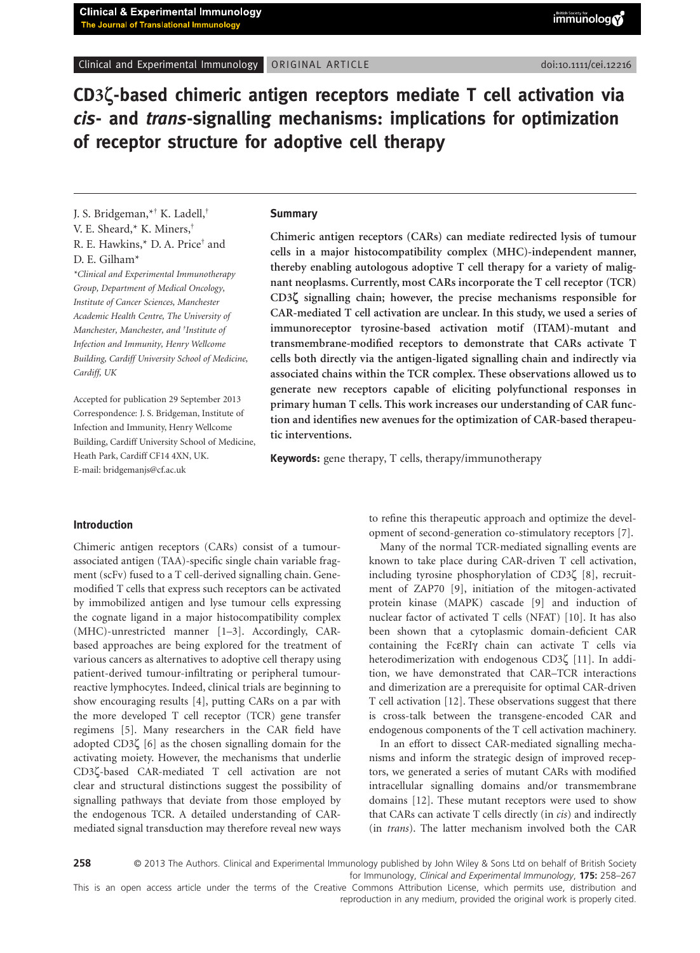Clinical and Experimental Immunology ORIGINAL ARTICLE doi:10.111/cei.12216

**CD3ζ-based chimeric antigen receptors mediate T cell activation via** *cis***- and** *trans***-signalling mechanisms: implications for optimization of receptor structure for adoptive cell therapy**

J. S. Bridgeman,\*† K. Ladell,† V. E. Sheard,\* K. Miners,† R. E. Hawkins,\* D. A. Price† and D. E. Gilham\*

*\*Clinical and Experimental Immunotherapy Group, Department of Medical Oncology, Institute of Cancer Sciences, Manchester Academic Health Centre, The University of Manchester, Manchester, and † Institute of Infection and Immunity, Henry Wellcome Building, Cardiff University School of Medicine, Cardiff, UK*

Accepted for publication 29 September 2013 Correspondence: J. S. Bridgeman, Institute of Infection and Immunity, Henry Wellcome Building, Cardiff University School of Medicine, Heath Park, Cardiff CF14 4XN, UK. E-mail: [bridgemanjs@cf.ac.uk](mailto:bridgemanjs@cf.ac.uk)

#### **Summary**

**Chimeric antigen receptors (CARs) can mediate redirected lysis of tumour cells in a major histocompatibility complex (MHC)-independent manner, thereby enabling autologous adoptive T cell therapy for a variety of malignant neoplasms. Currently, most CARs incorporate the T cell receptor (TCR) CD3ζ signalling chain; however, the precise mechanisms responsible for CAR-mediated T cell activation are unclear. In this study, we used a series of immunoreceptor tyrosine-based activation motif (ITAM)-mutant and transmembrane-modified receptors to demonstrate that CARs activate T cells both directly via the antigen-ligated signalling chain and indirectly via associated chains within the TCR complex. These observations allowed us to generate new receptors capable of eliciting polyfunctional responses in primary human T cells. This work increases our understanding of CAR function and identifies new avenues for the optimization of CAR-based therapeutic interventions.**

**Keywords:** gene therapy, T cells, therapy/immunotherapy

### **Introduction**

Chimeric antigen receptors (CARs) consist of a tumourassociated antigen (TAA)-specific single chain variable fragment (scFv) fused to a T cell-derived signalling chain. Genemodified T cells that express such receptors can be activated by immobilized antigen and lyse tumour cells expressing the cognate ligand in a major histocompatibility complex (MHC)-unrestricted manner [1–3]. Accordingly, CARbased approaches are being explored for the treatment of various cancers as alternatives to adoptive cell therapy using patient-derived tumour-infiltrating or peripheral tumourreactive lymphocytes. Indeed, clinical trials are beginning to show encouraging results [4], putting CARs on a par with the more developed T cell receptor (TCR) gene transfer regimens [5]. Many researchers in the CAR field have adopted CD3ζ [6] as the chosen signalling domain for the activating moiety. However, the mechanisms that underlie CD3ζ-based CAR-mediated T cell activation are not clear and structural distinctions suggest the possibility of signalling pathways that deviate from those employed by the endogenous TCR. A detailed understanding of CARmediated signal transduction may therefore reveal new ways to refine this therapeutic approach and optimize the development of second-generation co-stimulatory receptors [7].

Many of the normal TCR-mediated signalling events are known to take place during CAR-driven T cell activation, including tyrosine phosphorylation of CD3ζ [8], recruitment of ZAP70 [9], initiation of the mitogen-activated protein kinase (MAPK) cascade [9] and induction of nuclear factor of activated T cells (NFAT) [10]. It has also been shown that a cytoplasmic domain-deficient CAR containing the FcεRIγ chain can activate T cells via heterodimerization with endogenous CD3ζ [11]. In addition, we have demonstrated that CAR–TCR interactions and dimerization are a prerequisite for optimal CAR-driven T cell activation [12]. These observations suggest that there is cross-talk between the transgene-encoded CAR and endogenous components of the T cell activation machinery.

In an effort to dissect CAR-mediated signalling mechanisms and inform the strategic design of improved receptors, we generated a series of mutant CARs with modified intracellular signalling domains and/or transmembrane domains [12]. These mutant receptors were used to show that CARs can activate T cells directly (in *cis*) and indirectly (in *trans*). The latter mechanism involved both the CAR

258 © 2013 The Authors. Clinical and Experimental Immunology published by John Wiley & Sons Ltd on behalf of British Society for Immunology, *Clinical and Experimental Immunology*, **175:** 258–267

This is an open access article under the terms of the [Creative Commons Attribution](http://creativecommons.org/licenses/by/3.0) License, which permits use, distribution and reproduction in any medium, provided the original work is properly cited.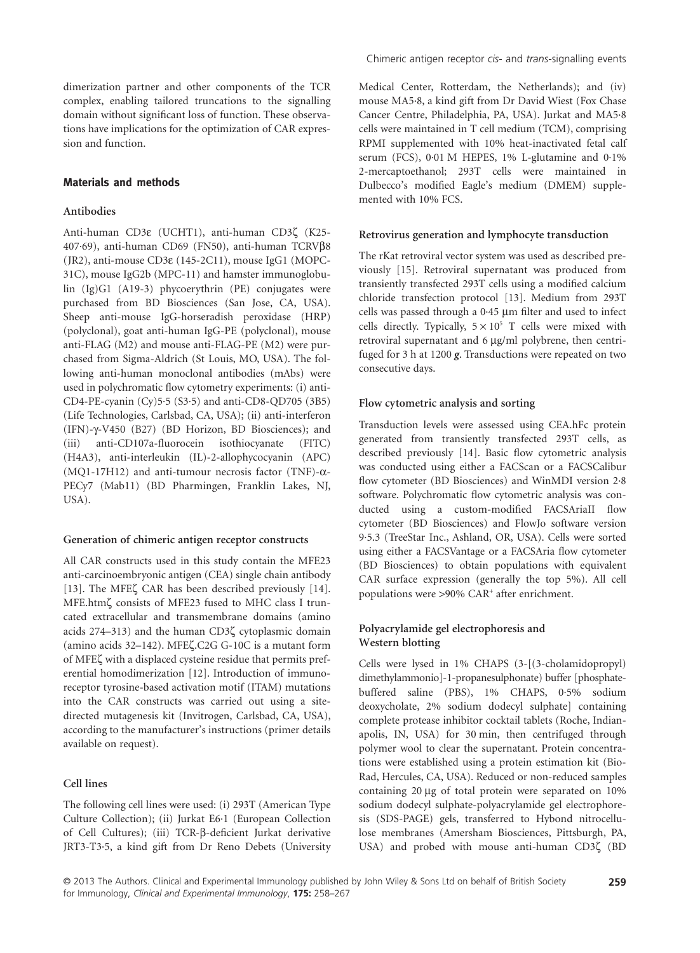dimerization partner and other components of the TCR complex, enabling tailored truncations to the signalling domain without significant loss of function. These observations have implications for the optimization of CAR expression and function.

## **Materials and methods**

### **Antibodies**

Anti-human CD3ε (UCHT1), anti-human CD3ζ (K25- 407·69), anti-human CD69 (FN50), anti-human TCRVβ8 (JR2), anti-mouse CD3ε (145-2C11), mouse IgG1 (MOPC-31C), mouse IgG2b (MPC-11) and hamster immunoglobulin (Ig)G1 (A19-3) phycoerythrin (PE) conjugates were purchased from BD Biosciences (San Jose, CA, USA). Sheep anti-mouse IgG-horseradish peroxidase (HRP) (polyclonal), goat anti-human IgG-PE (polyclonal), mouse anti-FLAG (M2) and mouse anti-FLAG-PE (M2) were purchased from Sigma-Aldrich (St Louis, MO, USA). The following anti-human monoclonal antibodies (mAbs) were used in polychromatic flow cytometry experiments: (i) anti-CD4-PE-cyanin (Cy)5·5 (S3·5) and anti-CD8-QD705 (3B5) (Life Technologies, Carlsbad, CA, USA); (ii) anti-interferon (IFN)-γ-V450 (B27) (BD Horizon, BD Biosciences); and (iii) anti-CD107a-fluorocein isothiocyanate (FITC) (H4A3), anti-interleukin (IL)-2-allophycocyanin (APC) (MQ1-17H12) and anti-tumour necrosis factor (TNF)-α-PECy7 (Mab11) (BD Pharmingen, Franklin Lakes, NJ, USA).

### **Generation of chimeric antigen receptor constructs**

All CAR constructs used in this study contain the MFE23 anti-carcinoembryonic antigen (CEA) single chain antibody [13]. The MFEζ CAR has been described previously [14]. MFE.htmζ consists of MFE23 fused to MHC class I truncated extracellular and transmembrane domains (amino acids 274–313) and the human CD3ζ cytoplasmic domain (amino acids 32–142). MFEζ.C2G G-10C is a mutant form of MFEζ with a displaced cysteine residue that permits preferential homodimerization [12]. Introduction of immunoreceptor tyrosine-based activation motif (ITAM) mutations into the CAR constructs was carried out using a sitedirected mutagenesis kit (Invitrogen, Carlsbad, CA, USA), according to the manufacturer's instructions (primer details available on request).

### **Cell lines**

The following cell lines were used: (i) 293T (American Type Culture Collection); (ii) Jurkat E6·1 (European Collection of Cell Cultures); (iii) TCR-β-deficient Jurkat derivative JRT3-T3·5, a kind gift from Dr Reno Debets (University Medical Center, Rotterdam, the Netherlands); and (iv) mouse MA5·8, a kind gift from Dr David Wiest (Fox Chase Cancer Centre, Philadelphia, PA, USA). Jurkat and MA5·8 cells were maintained in T cell medium (TCM), comprising RPMI supplemented with 10% heat-inactivated fetal calf serum (FCS), 0.01 M HEPES, 1% L-glutamine and 0.1% 2-mercaptoethanol; 293T cells were maintained in Dulbecco's modified Eagle's medium (DMEM) supplemented with 10% FCS.

#### **Retrovirus generation and lymphocyte transduction**

The rKat retroviral vector system was used as described previously [15]. Retroviral supernatant was produced from transiently transfected 293T cells using a modified calcium chloride transfection protocol [13]. Medium from 293T cells was passed through a 0·45 μm filter and used to infect cells directly. Typically,  $5 \times 10^5$  T cells were mixed with retroviral supernatant and 6 μg/ml polybrene, then centrifuged for 3 h at 1200 *g*. Transductions were repeated on two consecutive days.

### **Flow cytometric analysis and sorting**

Transduction levels were assessed using CEA.hFc protein generated from transiently transfected 293T cells, as described previously [14]. Basic flow cytometric analysis was conducted using either a FACScan or a FACSCalibur flow cytometer (BD Biosciences) and WinMDI version 2·8 software. Polychromatic flow cytometric analysis was conducted using a custom-modified FACSAriaII flow cytometer (BD Biosciences) and FlowJo software version 9·5.3 (TreeStar Inc., Ashland, OR, USA). Cells were sorted using either a FACSVantage or a FACSAria flow cytometer (BD Biosciences) to obtain populations with equivalent CAR surface expression (generally the top 5%). All cell populations were >90% CAR<sup>+</sup> after enrichment.

## **Polyacrylamide gel electrophoresis and Western blotting**

Cells were lysed in 1% CHAPS (3-[(3-cholamidopropyl) dimethylammonio]-1-propanesulphonate) buffer [phosphatebuffered saline (PBS), 1% CHAPS, 0·5% sodium deoxycholate, 2% sodium dodecyl sulphate] containing complete protease inhibitor cocktail tablets (Roche, Indianapolis, IN, USA) for 30 min, then centrifuged through polymer wool to clear the supernatant. Protein concentrations were established using a protein estimation kit (Bio-Rad, Hercules, CA, USA). Reduced or non-reduced samples containing 20 μg of total protein were separated on 10% sodium dodecyl sulphate-polyacrylamide gel electrophoresis (SDS-PAGE) gels, transferred to Hybond nitrocellulose membranes (Amersham Biosciences, Pittsburgh, PA, USA) and probed with mouse anti-human CD3ζ (BD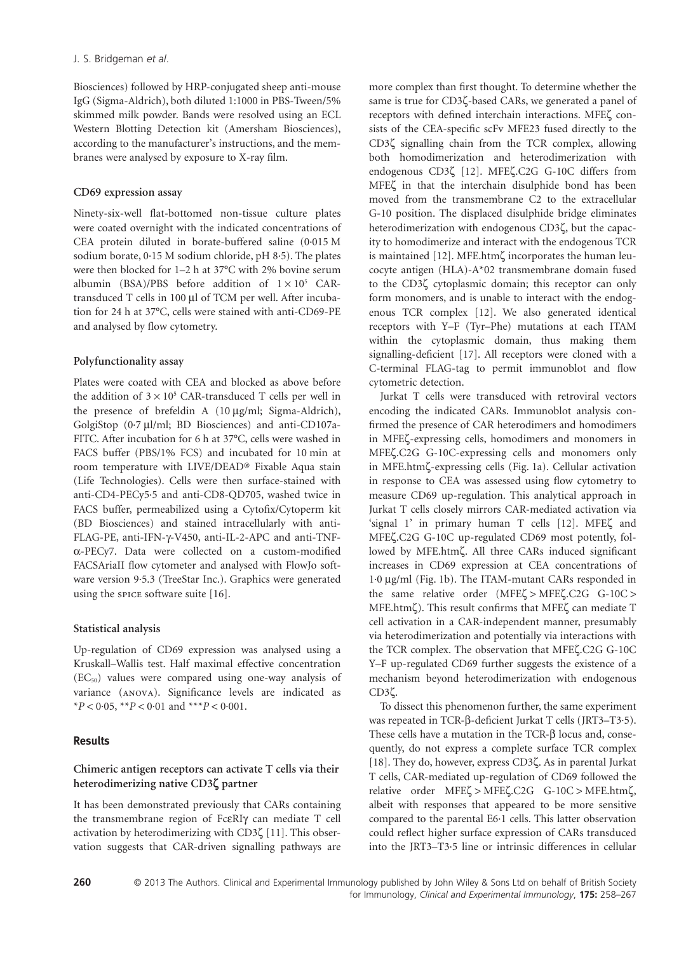Biosciences) followed by HRP-conjugated sheep anti-mouse IgG (Sigma-Aldrich), both diluted 1:1000 in PBS-Tween/5% skimmed milk powder. Bands were resolved using an ECL Western Blotting Detection kit (Amersham Biosciences), according to the manufacturer's instructions, and the membranes were analysed by exposure to X-ray film.

## **CD69 expression assay**

Ninety-six-well flat-bottomed non-tissue culture plates were coated overnight with the indicated concentrations of CEA protein diluted in borate-buffered saline (0·015 M sodium borate, 0·15 M sodium chloride, pH 8·5). The plates were then blocked for 1–2 h at 37°C with 2% bovine serum albumin (BSA)/PBS before addition of  $1 \times 10^5$  CARtransduced T cells in 100 μl of TCM per well. After incubation for 24 h at 37°C, cells were stained with anti-CD69-PE and analysed by flow cytometry.

## **Polyfunctionality assay**

Plates were coated with CEA and blocked as above before the addition of  $3 \times 10^5$  CAR-transduced T cells per well in the presence of brefeldin A (10 μg/ml; Sigma-Aldrich), GolgiStop (0·7 μl/ml; BD Biosciences) and anti-CD107a-FITC. After incubation for 6 h at 37°C, cells were washed in FACS buffer (PBS/1% FCS) and incubated for 10 min at room temperature with LIVE/DEAD® Fixable Aqua stain (Life Technologies). Cells were then surface-stained with anti-CD4-PECy5·5 and anti-CD8-QD705, washed twice in FACS buffer, permeabilized using a Cytofix/Cytoperm kit (BD Biosciences) and stained intracellularly with anti-FLAG-PE, anti-IFN-γ-V450, anti-IL-2-APC and anti-TNFα-PECy7. Data were collected on a custom-modified FACSAriaII flow cytometer and analysed with FlowJo software version 9·5.3 (TreeStar Inc.). Graphics were generated using the spice software suite [16].

# **Statistical analysis**

Up-regulation of CD69 expression was analysed using a Kruskall–Wallis test. Half maximal effective concentration  $(EC_{50})$  values were compared using one-way analysis of variance (anova). Significance levels are indicated as \**P* < 0·05, \*\**P* < 0·01 and \*\*\**P* < 0·001.

# **Results**

# **Chimeric antigen receptors can activate T cells via their heterodimerizing native CD3ζ partner**

It has been demonstrated previously that CARs containing the transmembrane region of FcεRIγ can mediate T cell activation by heterodimerizing with CD3ζ [11]. This observation suggests that CAR-driven signalling pathways are more complex than first thought. To determine whether the same is true for CD3ζ-based CARs, we generated a panel of receptors with defined interchain interactions. MFEζ consists of the CEA-specific scFv MFE23 fused directly to the CD3ζ signalling chain from the TCR complex, allowing both homodimerization and heterodimerization with endogenous CD3ζ [12]. MFEζ.C2G G-10C differs from MFEζ in that the interchain disulphide bond has been moved from the transmembrane C2 to the extracellular G-10 position. The displaced disulphide bridge eliminates heterodimerization with endogenous CD3ζ, but the capacity to homodimerize and interact with the endogenous TCR is maintained [12]. MFE.htmζ incorporates the human leucocyte antigen (HLA)-A\*02 transmembrane domain fused to the CD3ζ cytoplasmic domain; this receptor can only form monomers, and is unable to interact with the endogenous TCR complex [12]. We also generated identical receptors with Y–F (Tyr–Phe) mutations at each ITAM within the cytoplasmic domain, thus making them signalling-deficient [17]. All receptors were cloned with a C-terminal FLAG-tag to permit immunoblot and flow cytometric detection.

Jurkat T cells were transduced with retroviral vectors encoding the indicated CARs. Immunoblot analysis confirmed the presence of CAR heterodimers and homodimers in MFEζ-expressing cells, homodimers and monomers in MFEζ.C2G G-10C-expressing cells and monomers only in MFE.htmζ-expressing cells (Fig. 1a). Cellular activation in response to CEA was assessed using flow cytometry to measure CD69 up-regulation. This analytical approach in Jurkat T cells closely mirrors CAR-mediated activation via 'signal 1' in primary human T cells [12]. MFEζ and MFEζ.C2G G-10C up-regulated CD69 most potently, followed by MFE.htmζ. All three CARs induced significant increases in CD69 expression at CEA concentrations of 1·0 μg/ml (Fig. 1b). The ITAM-mutant CARs responded in the same relative order (MFEζ > MFEζ.C2G G-10C > MFE.htmζ). This result confirms that MFEζ can mediate T cell activation in a CAR-independent manner, presumably via heterodimerization and potentially via interactions with the TCR complex. The observation that MFEζ.C2G G-10C Y–F up-regulated CD69 further suggests the existence of a mechanism beyond heterodimerization with endogenous CD3ζ.

To dissect this phenomenon further, the same experiment was repeated in TCR-β-deficient Jurkat T cells (JRT3–T3·5). These cells have a mutation in the TCR-β locus and, consequently, do not express a complete surface TCR complex [18]. They do, however, express CD3ζ. As in parental Jurkat T cells, CAR-mediated up-regulation of CD69 followed the relative order MFEζ > MFEζ.C2G G-10C > MFE.htmζ, albeit with responses that appeared to be more sensitive compared to the parental E6·1 cells. This latter observation could reflect higher surface expression of CARs transduced into the JRT3–T3·5 line or intrinsic differences in cellular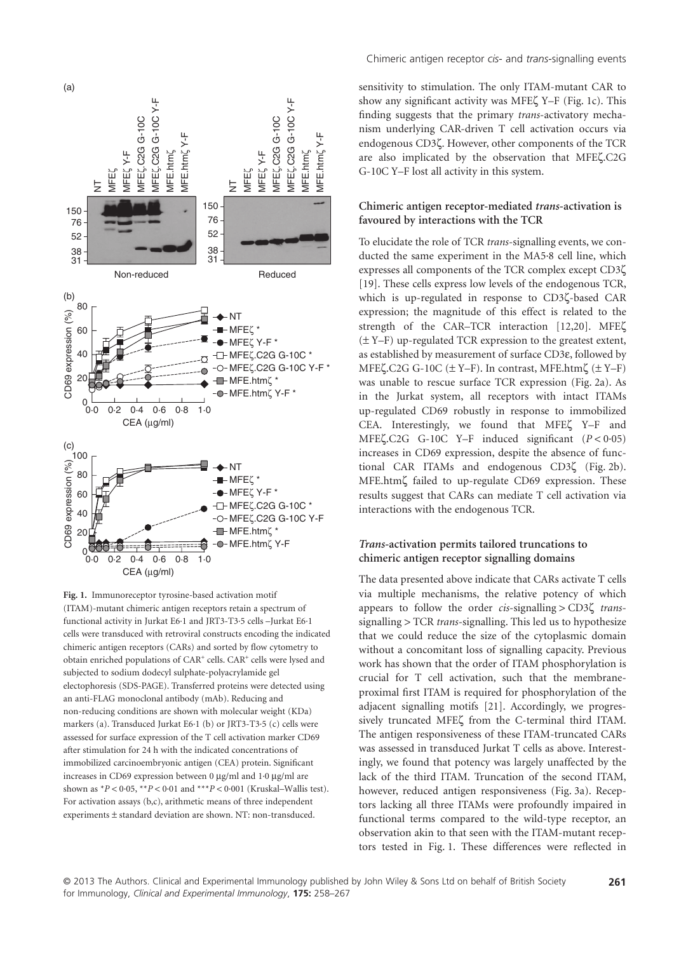

**Fig. 1.** Immunoreceptor tyrosine-based activation motif (ITAM)-mutant chimeric antigen receptors retain a spectrum of functional activity in Jurkat E6·1 and JRT3-T3·5 cells –Jurkat E6·1 cells were transduced with retroviral constructs encoding the indicated chimeric antigen receptors (CARs) and sorted by flow cytometry to obtain enriched populations of CAR<sup>+</sup> cells. CAR<sup>+</sup> cells were lysed and subjected to sodium dodecyl sulphate-polyacrylamide gel electophoresis (SDS-PAGE). Transferred proteins were detected using an anti-FLAG monoclonal antibody (mAb). Reducing and non-reducing conditions are shown with molecular weight (KDa) markers (a). Transduced Jurkat E6·1 (b) or JRT3-T3·5 (c) cells were assessed for surface expression of the T cell activation marker CD69 after stimulation for 24 h with the indicated concentrations of immobilized carcinoembryonic antigen (CEA) protein. Significant increases in CD69 expression between 0 μg/ml and 1·0 μg/ml are shown as  $*P < 0.05$ ,  $*P < 0.01$  and  $**P < 0.001$  (Kruskal–Wallis test). For activation assays (b,c), arithmetic means of three independent experiments ± standard deviation are shown. NT: non-transduced.

Chimeric antigen receptor *cis*- and *trans*-signalling events

sensitivity to stimulation. The only ITAM-mutant CAR to show any significant activity was MFEζ Y–F (Fig. 1c). This finding suggests that the primary *trans*-activatory mechanism underlying CAR-driven T cell activation occurs via endogenous CD3ζ. However, other components of the TCR are also implicated by the observation that MFEζ.C2G G-10C Y–F lost all activity in this system.

## **Chimeric antigen receptor-mediated** *trans***-activation is favoured by interactions with the TCR**

To elucidate the role of TCR *trans*-signalling events, we conducted the same experiment in the MA5·8 cell line, which expresses all components of the TCR complex except CD3ζ [19]. These cells express low levels of the endogenous TCR, which is up-regulated in response to CD3ζ-based CAR expression; the magnitude of this effect is related to the strength of the CAR–TCR interaction [12,20]. MFEζ (± Y–F) up-regulated TCR expression to the greatest extent, as established by measurement of surface CD3ε, followed by MFE $\zeta$ .C2G G-10C ( $\pm$  Y–F). In contrast, MFE.htm $\zeta$  ( $\pm$  Y–F) was unable to rescue surface TCR expression (Fig. 2a). As in the Jurkat system, all receptors with intact ITAMs up-regulated CD69 robustly in response to immobilized CEA. Interestingly, we found that MFEζ Y–F and MFEζ.C2G G-10C Y–F induced significant (*P* < 0·05) increases in CD69 expression, despite the absence of functional CAR ITAMs and endogenous CD3ζ (Fig. 2b). MFE.htmζ failed to up-regulate CD69 expression. These results suggest that CARs can mediate T cell activation via interactions with the endogenous TCR.

## *Trans***-activation permits tailored truncations to chimeric antigen receptor signalling domains**

The data presented above indicate that CARs activate T cells via multiple mechanisms, the relative potency of which appears to follow the order *cis*-signalling > CD3ζ *trans*signalling > TCR *trans*-signalling. This led us to hypothesize that we could reduce the size of the cytoplasmic domain without a concomitant loss of signalling capacity. Previous work has shown that the order of ITAM phosphorylation is crucial for T cell activation, such that the membraneproximal first ITAM is required for phosphorylation of the adjacent signalling motifs [21]. Accordingly, we progressively truncated MFEζ from the C-terminal third ITAM. The antigen responsiveness of these ITAM-truncated CARs was assessed in transduced Jurkat T cells as above. Interestingly, we found that potency was largely unaffected by the lack of the third ITAM. Truncation of the second ITAM, however, reduced antigen responsiveness (Fig. 3a). Receptors lacking all three ITAMs were profoundly impaired in functional terms compared to the wild-type receptor, an observation akin to that seen with the ITAM-mutant receptors tested in Fig. 1. These differences were reflected in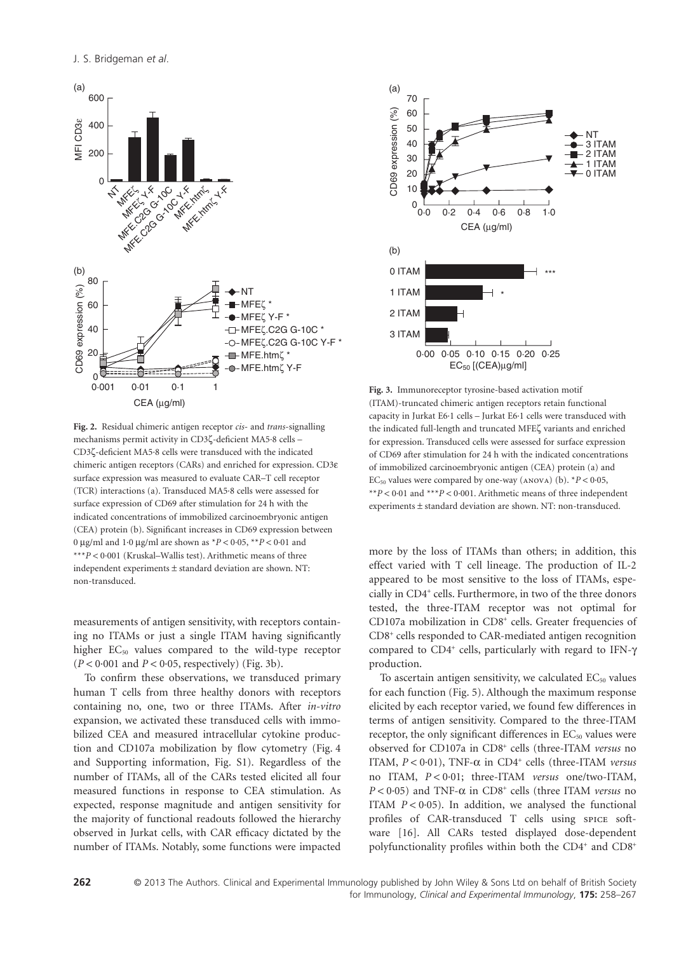

**Fig. 2.** Residual chimeric antigen receptor *cis*- and *trans*-signalling mechanisms permit activity in CD3ζ-deficient MA5·8 cells – CD3ζ-deficient MA5·8 cells were transduced with the indicated chimeric antigen receptors (CARs) and enriched for expression. CD3ε surface expression was measured to evaluate CAR–T cell receptor (TCR) interactions (a). Transduced MA5·8 cells were assessed for surface expression of CD69 after stimulation for 24 h with the indicated concentrations of immobilized carcinoembryonic antigen (CEA) protein (b). Significant increases in CD69 expression between 0 μg/ml and 1·0 μg/ml are shown as \**P* < 0·05, \*\**P* < 0·01 and \*\*\**P* < 0·001 (Kruskal–Wallis test). Arithmetic means of three independent experiments ± standard deviation are shown. NT: non-transduced.

measurements of antigen sensitivity, with receptors containing no ITAMs or just a single ITAM having significantly higher EC<sub>50</sub> values compared to the wild-type receptor  $(P < 0.001$  and  $P < 0.05$ , respectively) (Fig. 3b).

To confirm these observations, we transduced primary human T cells from three healthy donors with receptors containing no, one, two or three ITAMs. After *in-vitro* expansion, we activated these transduced cells with immobilized CEA and measured intracellular cytokine production and CD107a mobilization by flow cytometry (Fig. 4 and Supporting information, Fig. S1). Regardless of the number of ITAMs, all of the CARs tested elicited all four measured functions in response to CEA stimulation. As expected, response magnitude and antigen sensitivity for the majority of functional readouts followed the hierarchy observed in Jurkat cells, with CAR efficacy dictated by the number of ITAMs. Notably, some functions were impacted



**Fig. 3.** Immunoreceptor tyrosine-based activation motif (ITAM)-truncated chimeric antigen receptors retain functional capacity in Jurkat E6·1 cells – Jurkat E6·1 cells were transduced with the indicated full-length and truncated MFEζ variants and enriched for expression. Transduced cells were assessed for surface expression of CD69 after stimulation for 24 h with the indicated concentrations of immobilized carcinoembryonic antigen (CEA) protein (a) and EC<sub>50</sub> values were compared by one-way (ANOVA) (b).  $*P < 0.05$ , \*\**P* < 0·01 and \*\*\**P* < 0·001. Arithmetic means of three independent experiments ± standard deviation are shown. NT: non-transduced.

more by the loss of ITAMs than others; in addition, this effect varied with T cell lineage. The production of IL-2 appeared to be most sensitive to the loss of ITAMs, especially in CD4<sup>+</sup> cells. Furthermore, in two of the three donors tested, the three-ITAM receptor was not optimal for CD107a mobilization in CD8<sup>+</sup> cells. Greater frequencies of CD8<sup>+</sup> cells responded to CAR-mediated antigen recognition compared to CD4<sup>+</sup> cells, particularly with regard to IFN-γ production.

To ascertain antigen sensitivity, we calculated  $EC_{50}$  values for each function (Fig. 5). Although the maximum response elicited by each receptor varied, we found few differences in terms of antigen sensitivity. Compared to the three-ITAM receptor, the only significant differences in EC<sub>50</sub> values were observed for CD107a in CD8<sup>+</sup> cells (three-ITAM *versus* no ITAM,  $P < 0.01$ ), TNF- $\alpha$  in CD4<sup>+</sup> cells (three-ITAM *versus* no ITAM, *P* < 0·01; three-ITAM *versus* one/two-ITAM, *P* < 0·05) and TNF-α in CD8<sup>+</sup> cells (three ITAM *versus* no ITAM  $P < 0.05$ ). In addition, we analysed the functional profiles of CAR-transduced T cells using spice software [16]. All CARs tested displayed dose-dependent polyfunctionality profiles within both the CD4<sup>+</sup> and CD8<sup>+</sup>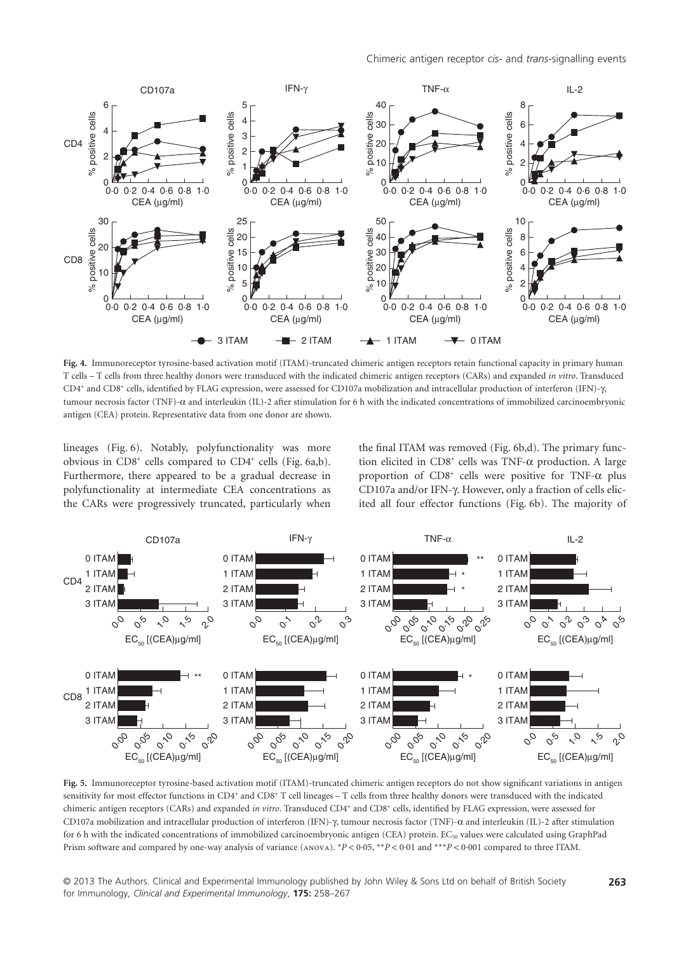

**Fig. 4.** Immunoreceptor tyrosine-based activation motif (ITAM)-truncated chimeric antigen receptors retain functional capacity in primary human T cells – T cells from three healthy donors were transduced with the indicated chimeric antigen receptors (CARs) and expanded *in vitro*. Transduced CD4<sup>+</sup> and CD8<sup>+</sup> cells, identified by FLAG expression, were assessed for CD107a mobilization and intracellular production of interferon (IFN)-γ, tumour necrosis factor (TNF)-α and interleukin (IL)-2 after stimulation for 6 h with the indicated concentrations of immobilized carcinoembryonic antigen (CEA) protein. Representative data from one donor are shown.

lineages (Fig. 6). Notably, polyfunctionality was more obvious in CD8<sup>+</sup> cells compared to CD4<sup>+</sup> cells (Fig. 6a,b). Furthermore, there appeared to be a gradual decrease in polyfunctionality at intermediate CEA concentrations as the CARs were progressively truncated, particularly when the final ITAM was removed (Fig. 6b,d). The primary function elicited in  $CD8^+$  cells was TNF- $\alpha$  production. A large proportion of  $CD8^+$  cells were positive for TNF- $\alpha$  plus CD107a and/or IFN-γ. However, only a fraction of cells elicited all four effector functions (Fig. 6b). The majority of



**Fig. 5.** Immunoreceptor tyrosine-based activation motif (ITAM)-truncated chimeric antigen receptors do not show significant variations in antigen sensitivity for most effector functions in CD4<sup>+</sup> and CD8<sup>+</sup> T cell lineages – T cells from three healthy donors were transduced with the indicated chimeric antigen receptors (CARs) and expanded *in vitro*. Transduced CD4<sup>+</sup> and CD8<sup>+</sup> cells, identified by FLAG expression, were assessed for CD107a mobilization and intracellular production of interferon (IFN)-γ, tumour necrosis factor (TNF)-α and interleukin (IL)-2 after stimulation for 6 h with the indicated concentrations of immobilized carcinoembryonic antigen (CEA) protein. EC<sub>50</sub> values were calculated using GraphPad Prism software and compared by one-way analysis of variance (ANOVA). \**P* < 0.05, \*\**P* < 0.01 and \*\*\**P* < 0.001 compared to three ITAM.

© 2013 The Authors. Clinical and Experimental Immunology published by John Wiley & Sons Ltd on behalf of British Society **263** for Immunology, *Clinical and Experimental Immunology*, **175:** 258–267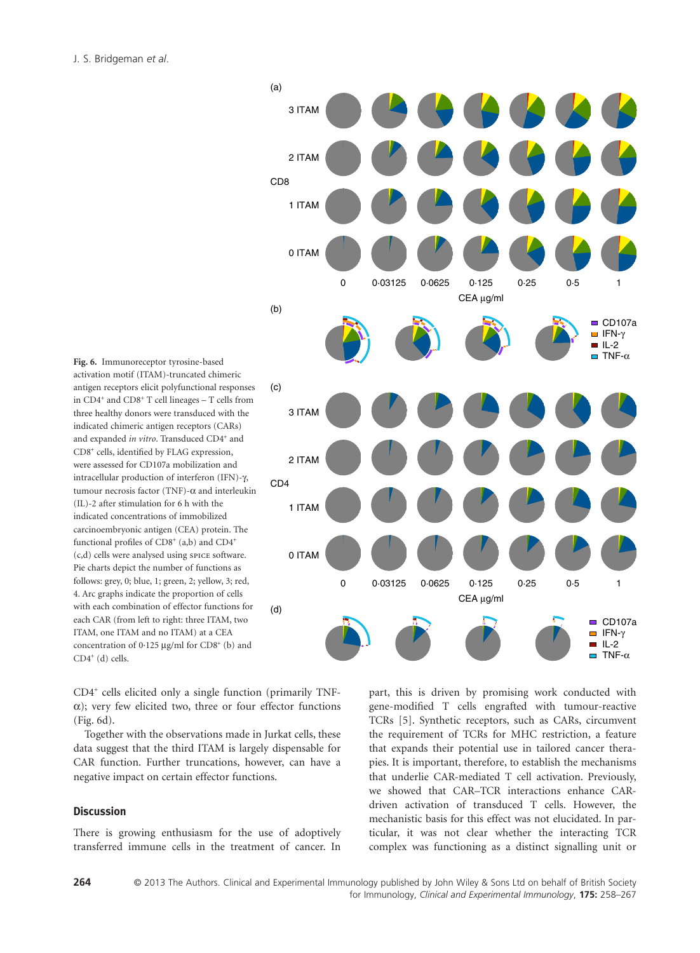J. S. Bridgeman *et al*.



**Fig. 6.** Immunoreceptor tyrosine-based activation motif (ITAM)-truncated chimeric antigen receptors elicit polyfunctional responses in  $CD4^+$  and  $CD8^+$  T cell lineages  $-$  T cells from three healthy donors were transduced with the indicated chimeric antigen receptors (CARs) and expanded *in vitro*. Transduced CD4<sup>+</sup> and CD8<sup>+</sup> cells, identified by FLAG expression, were assessed for CD107a mobilization and intracellular production of interferon (IFN)-γ, tumour necrosis factor (TNF)-α and interleukin (IL)-2 after stimulation for 6 h with the indicated concentrations of immobilized carcinoembryonic antigen (CEA) protein. The functional profiles of  $CD8^+$  (a,b) and  $CD4^+$ (c,d) cells were analysed using spice software. Pie charts depict the number of functions as follows: grey, 0; blue, 1; green, 2; yellow, 3; red, 4. Arc graphs indicate the proportion of cells with each combination of effector functions for each CAR (from left to right: three ITAM, two ITAM, one ITAM and no ITAM) at a CEA concentration of 0.125  $\mu$ g/ml for CD8<sup>+</sup> (b) and  $CD4^+(d)$  cells.

CD4<sup>+</sup> cells elicited only a single function (primarily TNFα); very few elicited two, three or four effector functions (Fig. 6d).

Together with the observations made in Jurkat cells, these data suggest that the third ITAM is largely dispensable for CAR function. Further truncations, however, can have a negative impact on certain effector functions.

## **Discussion**

There is growing enthusiasm for the use of adoptively transferred immune cells in the treatment of cancer. In part, this is driven by promising work conducted with gene-modified T cells engrafted with tumour-reactive TCRs [5]. Synthetic receptors, such as CARs, circumvent the requirement of TCRs for MHC restriction, a feature that expands their potential use in tailored cancer therapies. It is important, therefore, to establish the mechanisms that underlie CAR-mediated T cell activation. Previously, we showed that CAR–TCR interactions enhance CARdriven activation of transduced T cells. However, the mechanistic basis for this effect was not elucidated. In particular, it was not clear whether the interacting TCR complex was functioning as a distinct signalling unit or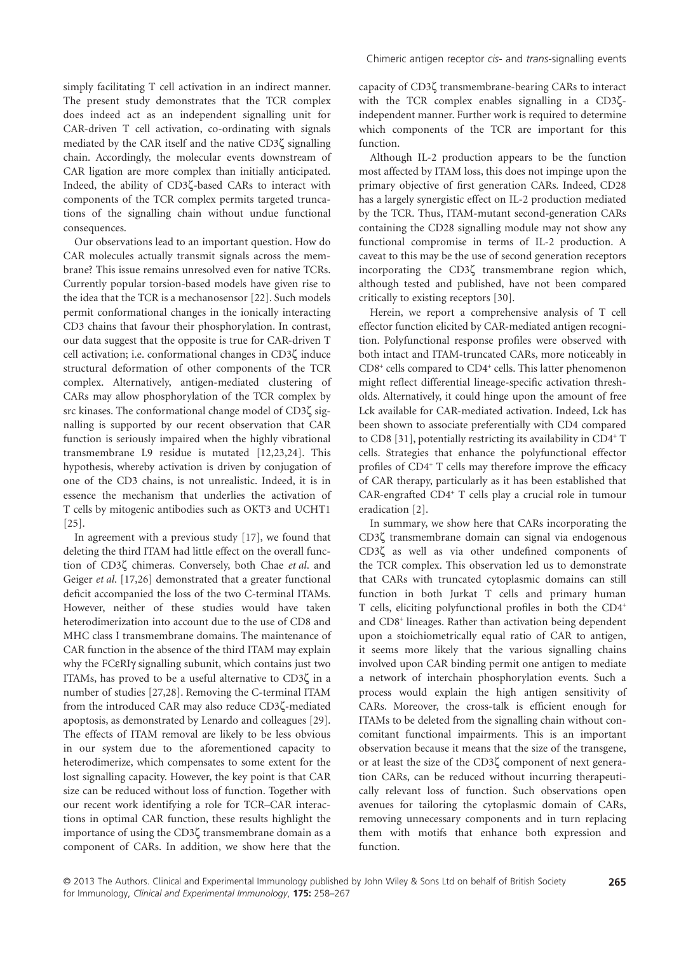simply facilitating T cell activation in an indirect manner. The present study demonstrates that the TCR complex does indeed act as an independent signalling unit for CAR-driven T cell activation, co-ordinating with signals mediated by the CAR itself and the native CD3ζ signalling chain. Accordingly, the molecular events downstream of CAR ligation are more complex than initially anticipated. Indeed, the ability of CD3ζ-based CARs to interact with components of the TCR complex permits targeted truncations of the signalling chain without undue functional consequences.

Our observations lead to an important question. How do CAR molecules actually transmit signals across the membrane? This issue remains unresolved even for native TCRs. Currently popular torsion-based models have given rise to the idea that the TCR is a mechanosensor [22]. Such models permit conformational changes in the ionically interacting CD3 chains that favour their phosphorylation. In contrast, our data suggest that the opposite is true for CAR-driven T cell activation; i.e. conformational changes in CD3ζ induce structural deformation of other components of the TCR complex. Alternatively, antigen-mediated clustering of CARs may allow phosphorylation of the TCR complex by src kinases. The conformational change model of CD3ζ signalling is supported by our recent observation that CAR function is seriously impaired when the highly vibrational transmembrane L9 residue is mutated [12,23,24]. This hypothesis, whereby activation is driven by conjugation of one of the CD3 chains, is not unrealistic. Indeed, it is in essence the mechanism that underlies the activation of T cells by mitogenic antibodies such as OKT3 and UCHT1 [25].

In agreement with a previous study [17], we found that deleting the third ITAM had little effect on the overall function of CD3ζ chimeras. Conversely, both Chae *et al*. and Geiger *et al*. [17,26] demonstrated that a greater functional deficit accompanied the loss of the two C-terminal ITAMs. However, neither of these studies would have taken heterodimerization into account due to the use of CD8 and MHC class I transmembrane domains. The maintenance of CAR function in the absence of the third ITAM may explain why the FCεRIγ signalling subunit, which contains just two ITAMs, has proved to be a useful alternative to CD3ζ in a number of studies [27,28]. Removing the C-terminal ITAM from the introduced CAR may also reduce CD3ζ-mediated apoptosis, as demonstrated by Lenardo and colleagues [29]. The effects of ITAM removal are likely to be less obvious in our system due to the aforementioned capacity to heterodimerize, which compensates to some extent for the lost signalling capacity. However, the key point is that CAR size can be reduced without loss of function. Together with our recent work identifying a role for TCR–CAR interactions in optimal CAR function, these results highlight the importance of using the CD3ζ transmembrane domain as a component of CARs. In addition, we show here that the capacity of CD3ζ transmembrane-bearing CARs to interact with the TCR complex enables signalling in a CD3ζindependent manner. Further work is required to determine which components of the TCR are important for this function.

Although IL-2 production appears to be the function most affected by ITAM loss, this does not impinge upon the primary objective of first generation CARs. Indeed, CD28 has a largely synergistic effect on IL-2 production mediated by the TCR. Thus, ITAM-mutant second-generation CARs containing the CD28 signalling module may not show any functional compromise in terms of IL-2 production. A caveat to this may be the use of second generation receptors incorporating the CD3ζ transmembrane region which, although tested and published, have not been compared critically to existing receptors [30].

Herein, we report a comprehensive analysis of T cell effector function elicited by CAR-mediated antigen recognition. Polyfunctional response profiles were observed with both intact and ITAM-truncated CARs, more noticeably in CD8<sup>+</sup> cells compared to CD4<sup>+</sup> cells. This latter phenomenon might reflect differential lineage-specific activation thresholds. Alternatively, it could hinge upon the amount of free Lck available for CAR-mediated activation. Indeed, Lck has been shown to associate preferentially with CD4 compared to CD8 [31], potentially restricting its availability in CD4+T cells. Strategies that enhance the polyfunctional effector profiles of CD4<sup>+</sup> T cells may therefore improve the efficacy of CAR therapy, particularly as it has been established that CAR-engrafted CD4<sup>+</sup> T cells play a crucial role in tumour eradication [2].

In summary, we show here that CARs incorporating the CD3ζ transmembrane domain can signal via endogenous CD3ζ as well as via other undefined components of the TCR complex. This observation led us to demonstrate that CARs with truncated cytoplasmic domains can still function in both Jurkat T cells and primary human T cells, eliciting polyfunctional profiles in both the CD4<sup>+</sup> and CD8<sup>+</sup> lineages. Rather than activation being dependent upon a stoichiometrically equal ratio of CAR to antigen, it seems more likely that the various signalling chains involved upon CAR binding permit one antigen to mediate a network of interchain phosphorylation events. Such a process would explain the high antigen sensitivity of CARs. Moreover, the cross-talk is efficient enough for ITAMs to be deleted from the signalling chain without concomitant functional impairments. This is an important observation because it means that the size of the transgene, or at least the size of the CD3ζ component of next generation CARs, can be reduced without incurring therapeutically relevant loss of function. Such observations open avenues for tailoring the cytoplasmic domain of CARs, removing unnecessary components and in turn replacing them with motifs that enhance both expression and function.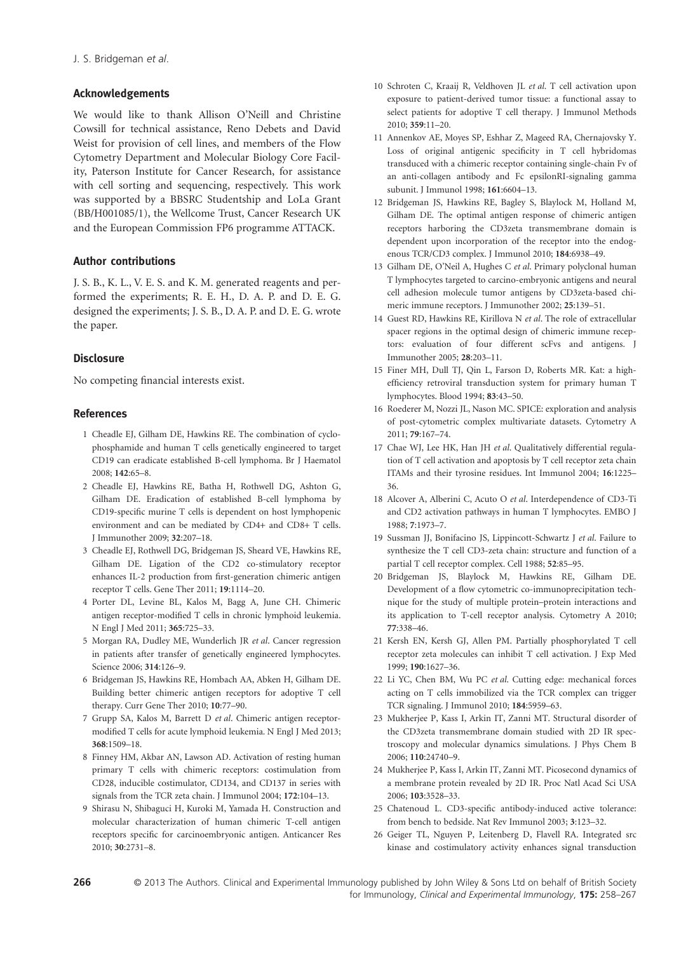### **Acknowledgements**

We would like to thank Allison O'Neill and Christine Cowsill for technical assistance, Reno Debets and David Weist for provision of cell lines, and members of the Flow Cytometry Department and Molecular Biology Core Facility, Paterson Institute for Cancer Research, for assistance with cell sorting and sequencing, respectively. This work was supported by a BBSRC Studentship and LoLa Grant (BB/H001085/1), the Wellcome Trust, Cancer Research UK and the European Commission FP6 programme ATTACK.

## **Author contributions**

J. S. B., K. L., V. E. S. and K. M. generated reagents and performed the experiments; R. E. H., D. A. P. and D. E. G. designed the experiments; J. S. B., D. A. P. and D. E. G. wrote the paper.

### **Disclosure**

No competing financial interests exist.

### **References**

- 1 Cheadle EJ, Gilham DE, Hawkins RE. The combination of cyclophosphamide and human T cells genetically engineered to target CD19 can eradicate established B-cell lymphoma. Br J Haematol 2008; **142**:65–8.
- 2 Cheadle EJ, Hawkins RE, Batha H, Rothwell DG, Ashton G, Gilham DE. Eradication of established B-cell lymphoma by CD19-specific murine T cells is dependent on host lymphopenic environment and can be mediated by CD4+ and CD8+ T cells. J Immunother 2009; **32**:207–18.
- 3 Cheadle EJ, Rothwell DG, Bridgeman JS, Sheard VE, Hawkins RE, Gilham DE. Ligation of the CD2 co-stimulatory receptor enhances IL-2 production from first-generation chimeric antigen receptor T cells. Gene Ther 2011; **19**:1114–20.
- 4 Porter DL, Levine BL, Kalos M, Bagg A, June CH. Chimeric antigen receptor-modified T cells in chronic lymphoid leukemia. N Engl J Med 2011; **365**:725–33.
- 5 Morgan RA, Dudley ME, Wunderlich JR *et al*. Cancer regression in patients after transfer of genetically engineered lymphocytes. Science 2006; **314**:126–9.
- 6 Bridgeman JS, Hawkins RE, Hombach AA, Abken H, Gilham DE. Building better chimeric antigen receptors for adoptive T cell therapy. Curr Gene Ther 2010; **10**:77–90.
- 7 Grupp SA, Kalos M, Barrett D *et al*. Chimeric antigen receptormodified T cells for acute lymphoid leukemia. N Engl J Med 2013; **368**:1509–18.
- 8 Finney HM, Akbar AN, Lawson AD. Activation of resting human primary T cells with chimeric receptors: costimulation from CD28, inducible costimulator, CD134, and CD137 in series with signals from the TCR zeta chain. J Immunol 2004; **172**:104–13.
- 9 Shirasu N, Shibaguci H, Kuroki M, Yamada H. Construction and molecular characterization of human chimeric T-cell antigen receptors specific for carcinoembryonic antigen. Anticancer Res 2010; **30**:2731–8.
- 10 Schroten C, Kraaij R, Veldhoven JL *et al*. T cell activation upon exposure to patient-derived tumor tissue: a functional assay to select patients for adoptive T cell therapy. J Immunol Methods 2010; **359**:11–20.
- 11 Annenkov AE, Moyes SP, Eshhar Z, Mageed RA, Chernajovsky Y. Loss of original antigenic specificity in T cell hybridomas transduced with a chimeric receptor containing single-chain Fv of an anti-collagen antibody and Fc epsilonRI-signaling gamma subunit. J Immunol 1998; **161**:6604–13.
- 12 Bridgeman JS, Hawkins RE, Bagley S, Blaylock M, Holland M, Gilham DE. The optimal antigen response of chimeric antigen receptors harboring the CD3zeta transmembrane domain is dependent upon incorporation of the receptor into the endogenous TCR/CD3 complex. J Immunol 2010; **184**:6938–49.
- 13 Gilham DE, O'Neil A, Hughes C *et al*. Primary polyclonal human T lymphocytes targeted to carcino-embryonic antigens and neural cell adhesion molecule tumor antigens by CD3zeta-based chimeric immune receptors. J Immunother 2002; **25**:139–51.
- 14 Guest RD, Hawkins RE, Kirillova N *et al*. The role of extracellular spacer regions in the optimal design of chimeric immune receptors: evaluation of four different scFvs and antigens. J Immunother 2005; **28**:203–11.
- 15 Finer MH, Dull TJ, Qin L, Farson D, Roberts MR. Kat: a highefficiency retroviral transduction system for primary human T lymphocytes. Blood 1994; **83**:43–50.
- 16 Roederer M, Nozzi JL, Nason MC. SPICE: exploration and analysis of post-cytometric complex multivariate datasets. Cytometry A 2011; **79**:167–74.
- 17 Chae WJ, Lee HK, Han JH *et al*. Qualitatively differential regulation of T cell activation and apoptosis by T cell receptor zeta chain ITAMs and their tyrosine residues. Int Immunol 2004; **16**:1225– 36.
- 18 Alcover A, Alberini C, Acuto O *et al*. Interdependence of CD3-Ti and CD2 activation pathways in human T lymphocytes. EMBO J 1988; **7**:1973–7.
- 19 Sussman JJ, Bonifacino JS, Lippincott-Schwartz J *et al*. Failure to synthesize the T cell CD3-zeta chain: structure and function of a partial T cell receptor complex. Cell 1988; **52**:85–95.
- 20 Bridgeman JS, Blaylock M, Hawkins RE, Gilham DE. Development of a flow cytometric co-immunoprecipitation technique for the study of multiple protein–protein interactions and its application to T-cell receptor analysis. Cytometry A 2010; **77**:338–46.
- 21 Kersh EN, Kersh GJ, Allen PM. Partially phosphorylated T cell receptor zeta molecules can inhibit T cell activation. J Exp Med 1999; **190**:1627–36.
- 22 Li YC, Chen BM, Wu PC *et al*. Cutting edge: mechanical forces acting on T cells immobilized via the TCR complex can trigger TCR signaling. J Immunol 2010; **184**:5959–63.
- 23 Mukherjee P, Kass I, Arkin IT, Zanni MT. Structural disorder of the CD3zeta transmembrane domain studied with 2D IR spectroscopy and molecular dynamics simulations. J Phys Chem B 2006; **110**:24740–9.
- 24 Mukherjee P, Kass I, Arkin IT, Zanni MT. Picosecond dynamics of a membrane protein revealed by 2D IR. Proc Natl Acad Sci USA 2006; **103**:3528–33.
- 25 Chatenoud L. CD3-specific antibody-induced active tolerance: from bench to bedside. Nat Rev Immunol 2003; **3**:123–32.
- 26 Geiger TL, Nguyen P, Leitenberg D, Flavell RA. Integrated src kinase and costimulatory activity enhances signal transduction